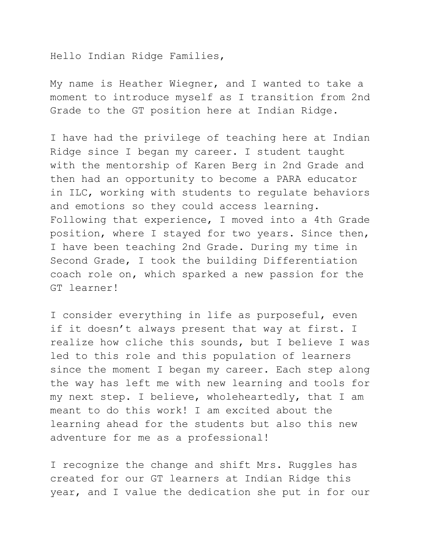Hello Indian Ridge Families,

My name is Heather Wiegner, and I wanted to take a moment to introduce myself as I transition from 2nd Grade to the GT position here at Indian Ridge.

I have had the privilege of teaching here at Indian Ridge since I began my career. I student taught with the mentorship of Karen Berg in 2nd Grade and then had an opportunity to become a PARA educator in ILC, working with students to regulate behaviors and emotions so they could access learning. Following that experience, I moved into a 4th Grade position, where I stayed for two years. Since then, I have been teaching 2nd Grade. During my time in Second Grade, I took the building Differentiation coach role on, which sparked a new passion for the GT learner!

I consider everything in life as purposeful, even if it doesn't always present that way at first. I realize how cliche this sounds, but I believe I was led to this role and this population of learners since the moment I began my career. Each step along the way has left me with new learning and tools for my next step. I believe, wholeheartedly, that I am meant to do this work! I am excited about the learning ahead for the students but also this new adventure for me as a professional!

I recognize the change and shift Mrs. Ruggles has created for our GT learners at Indian Ridge this year, and I value the dedication she put in for our